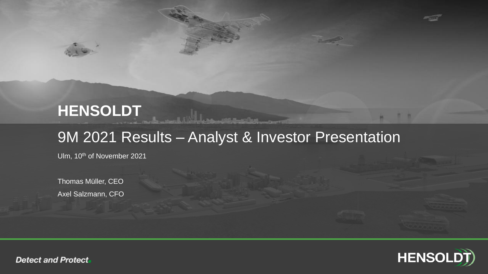# **HENSOLDT**

## 9M 2021 Results – Analyst & Investor Presentation

Ulm, 10th of November 2021

Thomas Müller, CEO Axel Salzmann, CFO



n m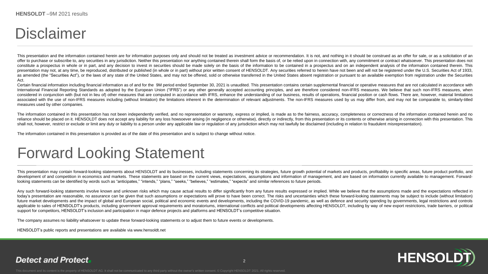# Disclaimer

This presentation and the information contained herein are for information purposes only and should not be treated as investment advice or recommendation. It is not, and nothing in it should be construed as an offer for sa offer to purchase or subscribe to, any securities in any jurisdiction. Neither this presentation nor anything contained therein shall form the basis of, or be relied upon in connection with, any commitment or contract what constitute a prospectus in whole or in part, and any decision to invest in securities should be made solely on the basis of the information to be contained in a prospectus and on an independent analysis of the information presentation may not, at any time, be reproduced, distributed or published (in whole or in part) without prior written consent of HENSOLDT. Any securities referred to herein have not been and will not be registered under t as amended (the "Securities Act"), or the laws of any state of the United States, and may not be offered, sold or otherwise transferred in the United States absent registration or pursuant to an available exemption from re Act.

Certain financial information including financial information as of and for the 9M period ended September 30, 2021 is unaudited. This presentation contains certain supplemental financial or operative measures that are not International Financial Reporting Standards as adopted by the European Union ("IFRS") or any other generally accepted accounting principles, and are therefore considered non-IFRS measures. We believe that such non-IFRS mea considered in conjunction with (but not in lieu of) other measures that are computed in accordance with IFRS, enhance the understanding of our business, results of operations, financial position or cash flows. There are, h associated with the use of non-IFRS measures including (without limitation) the limitations inherent in the determination of relevant adjustments. The non-IFRS measures used by us may differ from, and may not be comparable measures used by other companies.

The information contained in this presentation has not been independently verified, and no representation or warranty, express or implied, is made as to the fairness, accuracy, completeness or correctness of the informatio reliance should be placed on it. HENSOLDT does not accept any liability for any loss howsoever arising (in negligence or otherwise), directly or indirectly, from this presentation or its contents or otherwise arising in co shall not, however, restrict or exclude or limit any duty or liability to a person under any applicable law or requlation of any jurisdiction which may not lawfully be disclaimed (including in relation to fraudulent misrep

The information contained in this presentation is provided as of the date of this presentation and is subject to change without notice.

## Forward Looking Statement

This presentation may contain forward-looking statements about HENSOLDT and its businesses, including statements concerning its strategies, future growth potential of markets and products, profitability in specific areas, development of and competition in economics and markets. These statements are based on the current views, expectations, assumptions and information of management, and are based on information currently available to managem looking statements can be identified by words such as "anticipates," "intends," "plans," "seeks," "believes," "estimates," "expects" and similar references to future periods.

Any such forward-looking statements involve known and unknown risks which may cause actual results to differ significantly from any future results expressed or implied. While we believe that the assumptions made and the ex today's presentation are reasonable, no assurance can be given that such assumptions or expectations will prove to have been correct. The risks and uncertainties which these forward-looking statements may be subject to inc future market developments and the impact of global and European social, political and economic events and developments, including the COVID-19 pandemic, as well as defence and security spending by governments, legal restr applicable to sales of HENSOLDT's products, including government approval requirements and moratoriums, international conflicts and political developments affecting HENSOLDT, including by way of new export restrictions, tr support for competitors, HENSOLDT's inclusion and participation in major defence projects and platforms and HENSOLDT's competitive situation.

The company assumes no liability whatsoever to update these forward-looking statements or to adjust them to future events or developments.

HENSOLDT's public reports and presentations are available via www.hensoldt.net

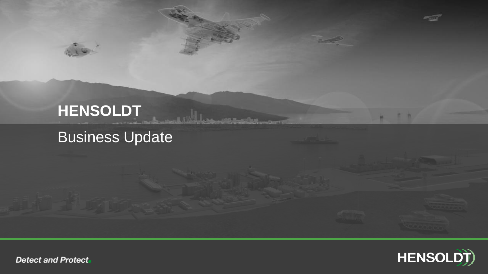# **HENSOLDT** Business Update

<u> Mars antrastus</u>



**竹竹**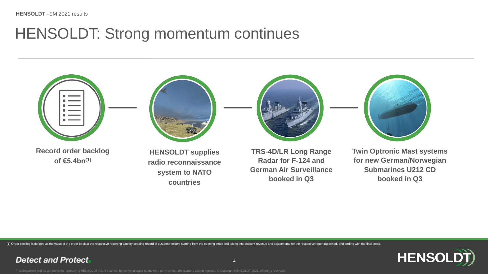**Detect and Protect** 

## HENSOLDT: Strong momentum continues



(1) Order backlog is defined as the value of the order book at the respective reporting date by keeping record of customer orders starting from the opening stock and taking into account revenue and adjustments for the resp

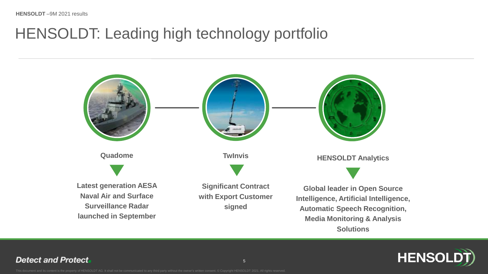# HENSOLDT: Leading high technology portfolio



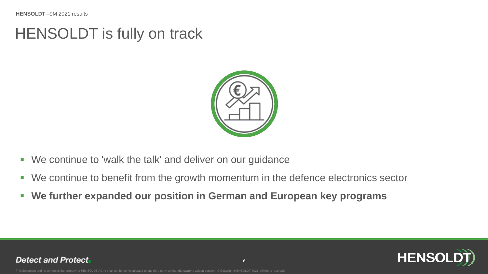## HENSOLDT is fully on track



- We continue to 'walk the talk' and deliver on our guidance
- We continue to benefit from the growth momentum in the defence electronics sector
- **We further expanded our position in German and European key programs**

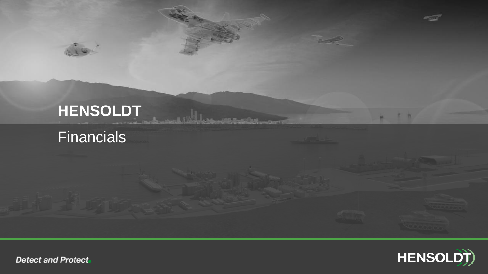# **HENSOLDT Financials**

**A All and Department of the A** 

# **HENSOLDT**

**竹 竹**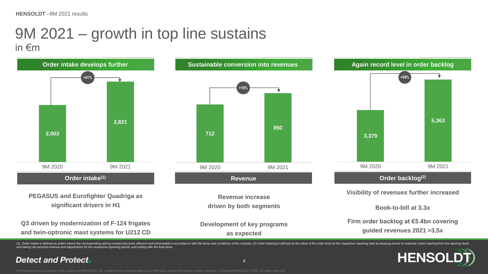## 9M 2021 – growth in top line sustains in €m



and taking into account revenue and adjustments for the respective reporting period, and ending with the final stock.

**Detect and Protect** 

8

**HENSO**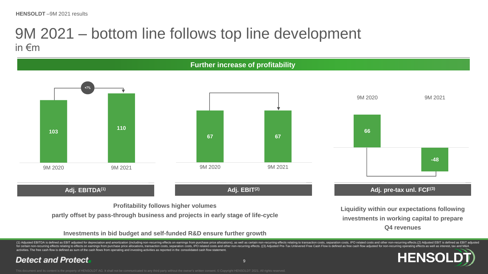## 9M 2021 – bottom line follows top line development in €m



### **Investments in bid budget and self-funded R&D ensure further growth**

(1) Adjusted EBITDA is defined as EBIT adjusted for depreciation and amortization (including non-recurring effects on earnings from purchase price allocations), as well as certain non-recurring effects relating to transact activities. The free cash flow is defined as sum of the cash flows from operating and investing activities as reported in the consolidated cash flow statement. **HENSC**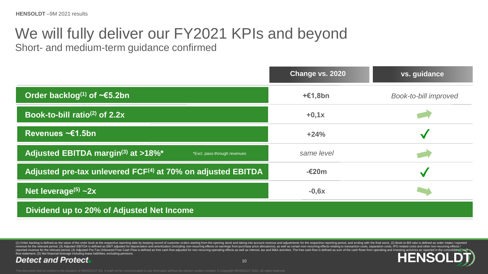# We will fully deliver our FY2021 KPIs and beyond

Short- and medium-term guidance confirmed

|                                                                                            | Change vs. 2020 | vs. guidance                 |
|--------------------------------------------------------------------------------------------|-----------------|------------------------------|
| Order backlog <sup>(1)</sup> of ~€5.2bn                                                    | $+£1,8bn$       | <b>Book-to-bill improved</b> |
| Book-to-bill ratio <sup>(2)</sup> of $2.2x$                                                | $+0,1x$         |                              |
| Revenues ~€1.5bn                                                                           | $+24%$          |                              |
| Adjusted EBITDA margin <sup>(3)</sup> at >18% <sup>*</sup><br>*Excl. pass-through revenues | same level      |                              |
| Adjusted pre-tax unlevered FCF <sup>(4)</sup> at 70% on adjusted EBITDA                    | -€20m           | $\checkmark$                 |
| Net leverage <sup>(5)</sup> $\sim$ 2x                                                      | $-0,6x$         |                              |
| Dividend up to 20% of Adjusted Net Income                                                  |                 |                              |

(1) Order backlog is defined as the value of the order book at the respective reporting date by keeping record of customer orders starting from the opening stock and taking into account revenue and adjustments for the resp revenue for the relevant period, (3) Adjusted EBITDA is defined as EBIT adjusted for depreciation and amortization (including non-recurring effects on earnings from purchase price allocations), as well as certain non-recur flow statement, (5) Net financial leverage including lease liabilities, excluding pensions. HEN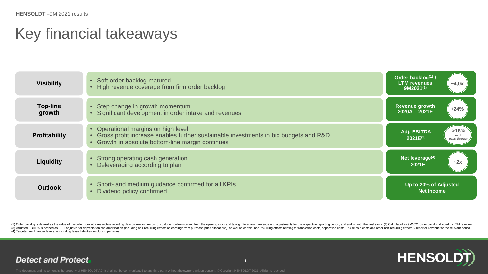# Key financial takeaways

| <b>Visibility</b>         | • Soft order backlog matured<br>• High revenue coverage from firm order backlog                                                                                                    | Order backlog(1) /<br><b>LTM</b> revenues<br>$-4,0x$<br>$9M2021^{(2)}$ |
|---------------------------|------------------------------------------------------------------------------------------------------------------------------------------------------------------------------------|------------------------------------------------------------------------|
| <b>Top-line</b><br>growth | • Step change in growth momentum<br>• Significant development in order intake and revenues                                                                                         | <b>Revenue growth</b><br>$+24%$<br>$2020A - 2021E$                     |
| <b>Profitability</b>      | • Operational margins on high level<br>• Gross profit increase enables further sustainable investments in bid budgets and R&D<br>• Growth in absolute bottom-line margin continues | >18%<br>Adj. EBITDA<br>excl.<br>$2021E^{(3)}$<br>pass-through          |
| <b>Liquidity</b>          | • Strong operating cash generation<br>• Deleveraging according to plan                                                                                                             | Net leverage <sup>(4)</sup><br>$-2x$<br>2021E                          |
| Outlook                   | • Short- and medium guidance confirmed for all KPIs<br>• Dividend policy confirmed                                                                                                 | Up to 20% of Adjusted<br><b>Net Income</b>                             |

(1) Order backlog is defined as the value of the order book at a respective reporting date by keeping record of customer orders starting from the opening stock and taking into account revenue and adjustments for the respec (3) Adjusted EBITDA is defined as EBIT adjusted for depreciation and amortization (including non-recurring effects on earnings from purchase price allocations), as well as certain non-recurring effects relating to transact (4) Targeted net financial leverage including lease liabilities, excluding pensions.

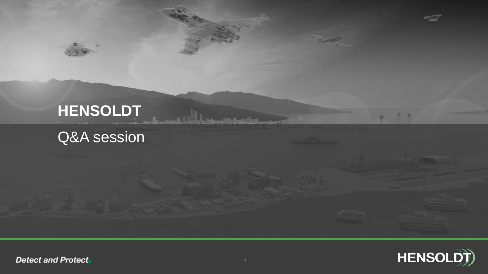# **HENSOLDT** Q&A session



**竹 竹** 

**Samuel Address and Second Land**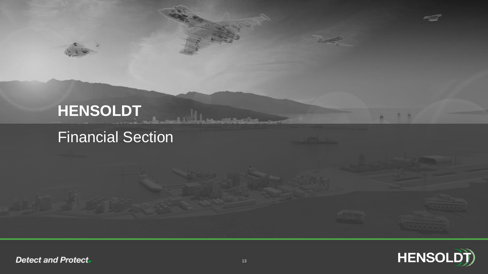# **HENSOLDT** Financial Section

**竹 竹** 

<u> Joseph Bardine</u>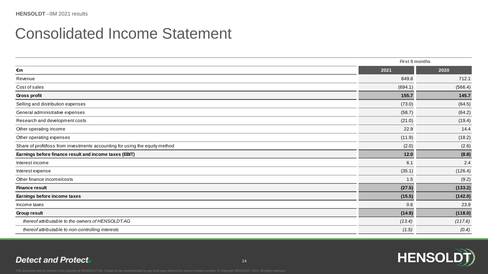| <b>Consolidated Income Statement</b>                                         |                |         |
|------------------------------------------------------------------------------|----------------|---------|
|                                                                              | First 9 months |         |
| €m                                                                           | 2021           | 2020    |
| Revenue                                                                      | 849.8          | 712.1   |
| Cost of sales                                                                | (694.1)        | (566.4) |
| Gross profit                                                                 | 155.7          | 145.7   |
| Selling and distribution expenses                                            | (73.0)         | (64.5)  |
| General administrative expenses                                              | (58.7)         | (64.2)  |
| Research and development costs                                               | (21.0)         | (19.4)  |
| Other operating income                                                       | 22.9           | 14.4    |
| Other operating expenses                                                     | (11.9)         | (18.2)  |
| Share of profit/loss from investments accounting for using the equity method | (2.0)          | (2.6)   |
| Earnings before finance result and income taxes (EBIT)                       | $12.0$         | (8.8)   |
| Interest income                                                              | 6.1            | 2.4     |
| Interest expense                                                             | (35.1)         | (126.4) |
| Other finance income/costs                                                   | 1.5            | (9.2)   |
| <b>Finance result</b>                                                        | (27.5)         | (133.2) |
| Earnings before income taxes                                                 | (15.5)         | (142.0) |
| Income taxes                                                                 | 0.6            | 23.9    |
| Group result                                                                 | (14.9)         | (118.0) |
| thereof attributable to the owners of HENSOLDT AG                            | (13.4)         | (117.6) |
| thereof attributable to non-controlling interests                            | (1.5)          | (0.4)   |

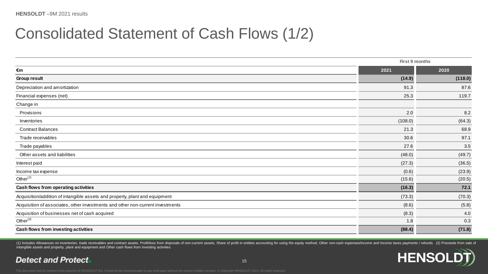| <b>Consolidated Statement of Cash Flows (1/2)</b>                              |                |         |
|--------------------------------------------------------------------------------|----------------|---------|
|                                                                                | First 9 months |         |
| €m                                                                             | 2021           | 2020    |
| Group result                                                                   | (14.9)         | (118.0) |
| Depreciation and amortization                                                  | 91.3           | 87.6    |
| Financial expenses (net)                                                       | 25.3           | 119.7   |
| Change in                                                                      |                |         |
| Provisions                                                                     | 2.0            | 8.2     |
| Inventories                                                                    | (108.0)        | (64.3)  |
| <b>Contract Balances</b>                                                       | 21.3           | 68.9    |
| Trade receivables                                                              | 30.6           | 97.1    |
| Trade payables                                                                 | 27.6           | 3.5     |
| Other assets and liabilities                                                   | (48.0)         | (49.7)  |
| Interest paid                                                                  | (27.3)         | (36.5)  |
| Income tax expense                                                             | (0.6)          | (23.9)  |
| Other $(1)$                                                                    | (15.6)         | (20.5)  |
| Cash flows from operating activities                                           | (16.3)         | 72.1    |
| Acquisition/addition of intangible assets and property, plant and equipment    | (73.3)         | (70.3)  |
| Acquisition of associates, other investments and other non-current investments | (8.6)          | (5.8)   |
| Acquisition of businesses net of cash acquired                                 | (8.3)          | 4.0     |
| Other $^{(2)}$                                                                 | 1.8            | 0.3     |
| Cash flows from investing activities                                           | (88.4)         | (71.8)  |

(1) Includes Allowances on inventories, trade receivables and contract assets, Profit/loss from disposals of non-current assets, Share of profit in entities accounting for using the equity method, Other non-cash expenses/i intangible assets and property, plant and equipment and Other cash flows from investing activities.

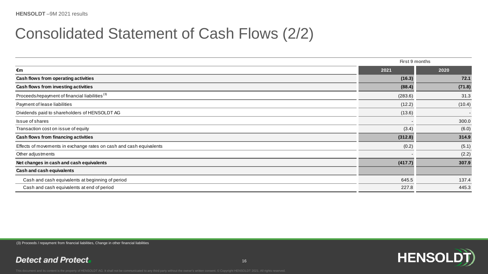| <b>Consolidated Statement of Cash Flows (2/2)</b>                   |                |        |
|---------------------------------------------------------------------|----------------|--------|
|                                                                     | First 9 months |        |
| €m                                                                  | 2021           | 2020   |
| Cash flows from operating activities                                | (16.3)         | 72.1   |
| Cash flows from investing activities                                | (88.4)         | (71.8) |
| Proceeds/repayment of financial liabilities <sup>(3)</sup>          | (283.6)        | 31.3   |
| Payment of lease liabilities                                        | (12.2)         | (10.4) |
| Dividends paid to shareholders of HENSOLDT AG                       | (13.6)         |        |
| Issue of shares                                                     |                | 300.0  |
| Transaction cost on issue of equity                                 | (3.4)          | (6.0)  |
| Cash flows from financing activities                                | (312.8)        | 314.9  |
| Effects of movements in exchange rates on cash and cash equivalents | (0.2)          | (5.1)  |
| Other adjustments                                                   |                | (2.2)  |
| Net changes in cash and cash equivalents                            | (417.7)        | 307.9  |
| Cash and cash equivalents                                           |                |        |
| Cash and cash equivalents at beginning of period                    | 645.5          | 137.4  |
| Cash and cash equivalents at end of period                          | 227.8          | 445.3  |

(3) Proceeds / repayment from financial liabilities, Change in other financial liabilities

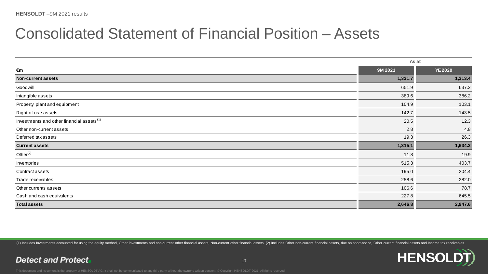| <b>Consolidated Statement of Financial Position - Assets</b> |         |                |
|--------------------------------------------------------------|---------|----------------|
|                                                              |         | As at          |
| €m                                                           | 9M 2021 | <b>YE 2020</b> |
| <b>Non-current assets</b>                                    | 1,331.7 | 1,313.4        |
| Goodwill                                                     | 651.9   | 637.2          |
| Intangible assets                                            | 389.6   | 386.2          |
| Property, plant and equipment                                | 104.9   | 103.1          |
| Right-of-use assets                                          | 142.7   | 143.5          |
| Investments and other financial assets <sup>(1)</sup>        | 20.5    | 12.3           |
| Other non-current assets                                     | 2.8     | 4.8            |
| Deferred tax assets                                          | 19.3    | 26.3           |
| <b>Current assets</b>                                        | 1,315.1 | 1,634.2        |
| Other $(2)$                                                  | 11.8    | 19.9           |
| Inventories                                                  | 515.3   | 403.7          |
| Contract assets                                              | 195.0   | 204.4          |
| Trade receivables                                            | 258.6   | 282.0          |
| Other currents assets                                        | 106.6   | 78.7           |
| Cash and cash equivalents                                    | 227.8   | 645.5          |
| <b>Total assets</b>                                          | 2,646.8 | 2,947.6        |

(1) Includes Investments accounted for using the equity method, Other investments and non-current other financial assets, Non-current other financial assets. (2) Includes Other non-current financial assets, due on short-no

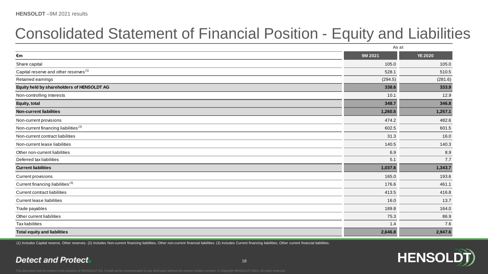# Consolidated Statement of Financial Position - Equity and Liabilities

| <b>HENSOLD I</b> -9M 2021 results                                          |         |                |
|----------------------------------------------------------------------------|---------|----------------|
| <b>Consolidated Statement of Financial Position - Equity and Liabiliti</b> |         |                |
|                                                                            | As at   |                |
| €m                                                                         | 9M 2021 | <b>YE 2020</b> |
| Share capital                                                              | 105.0   | 105.0          |
| Capital reserve and other reserves <sup>(1)</sup>                          | 528.1   | 510.5          |
| Retained earnings                                                          | (294.5) | (281.6)        |
| Equity held by shareholders of HENSOLDT AG                                 | 338.6   | 333.9          |
| Non-controlling interests                                                  | 10.1    | 12.9           |
| Equity, total                                                              | 348.7   | 346.8          |
| <b>Non-current liabilities</b>                                             | 1,260.5 | 1,257.1        |
| Non-current provisions                                                     | 474.2   | 482.6          |
| Non-current financing liabilities <sup>(2)</sup>                           | 602.5   | 601.5          |
| Non-current contract liabilities                                           | 31.3    | 16.0           |
| Non-current lease liabilities                                              | 140.5   | 140.3          |
| Other non-current liabilities                                              | 6.9     | 8.9            |
| Deferred tax liabilities                                                   | 5.1     | 7.7            |
| <b>Current liabilities</b>                                                 | 1,037.6 | 1,343.7        |
| <b>Current provisions</b>                                                  | 165.0   | 193.6          |
| Current financing liabilities <sup>(3)</sup>                               | 176.6   | 461.1          |
| <b>Current contract liabilities</b>                                        | 413.5   | 416.8          |
| Current lease liabilities                                                  | 16.0    | 13.7           |
| Trade payables                                                             | 189.8   | 164.0          |
| Other current liabilities                                                  | 75.3    | 86.9           |
| <b>Tax liabilities</b>                                                     | 1.4     | 7.6            |
| <b>Total equity and liabilities</b>                                        | 2,646.8 | 2,947.6        |
|                                                                            |         |                |

(1) Includes Capital reserve, Other reserves. (2) Includes Non-current financing liabilities, Other non-current financial liabilities. (3) Includes Current financing liabilities, Other current financial liabilities.

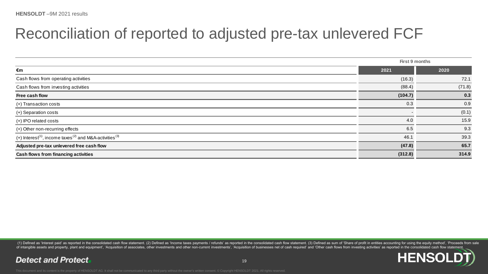| Reconciliation of reported to adjusted pre-tax unlevered FCF                                |                       |        |
|---------------------------------------------------------------------------------------------|-----------------------|--------|
|                                                                                             | <b>First 9 months</b> |        |
| €m                                                                                          | 2021                  | 2020   |
| Cash flows from operating activities                                                        | (16.3)                | 72.1   |
| Cash flows from investing activities                                                        | (88.4)                | (71.8) |
| Free cash flow                                                                              | (104.7)               | 0.3    |
| (+) Transaction costs                                                                       | 0.3                   | 0.9    |
| (+) Separation costs                                                                        |                       | (0.1)  |
| (+) IPO related costs                                                                       | 4.0                   | 15.9   |
| (+) Other non-recurring effects                                                             | 6.5                   | 9.3    |
| (+) Interest <sup>(1)</sup> , income taxes <sup>(2)</sup> and M&A-activities <sup>(3)</sup> | 46.1                  | 39.3   |
| Adjusted pre-tax unlevered free cash flow                                                   | (47.8)                | 65.7   |
| Cash flows from financing activities                                                        | (312.8)               | 314.9  |

(1) Defined as 'Interest paid' as reported in the consolidated cash flow statement. (2) Defined as 'Income taxes payments / refunds' as reported in the consolidated cash flow statement. (3) Defined as sum of 'Share of prof of intangible assets and property, plant and equipment', 'Acquisition of associates, other investments and other non-current investments', 'Acquisition of businesses net of cash required' and 'Other cash flows from investi

**HENSO**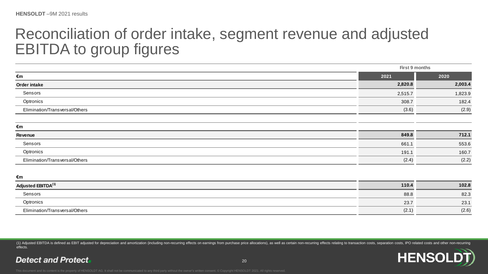## Reconciliation of order intake, segment revenue and adjusted EBITDA to group figures

| Reconciliation of order intake, segment revenue and adjusted |                |         |
|--------------------------------------------------------------|----------------|---------|
| <b>EBITDA to group figures</b>                               |                |         |
|                                                              |                |         |
|                                                              | First 9 months |         |
| €m                                                           | 2021           | 2020    |
| Order intake                                                 | 2,820.8        | 2,003.4 |
| Sensors                                                      | 2,515.7        | 1,823.9 |
| Optronics                                                    | 308.7          | 182.4   |
| Elimination/Transversal/Others                               | (3.6)          | (2.9)   |
| €m                                                           |                |         |
| <b>Revenue</b>                                               | 849.8          | 712.1   |
| Sensors                                                      | 661.1          | 553.6   |
| Optronics                                                    | 191.1          | 160.7   |
| Elimination/Transversal/Others                               | (2.4)          | (2.2)   |
| €m                                                           |                |         |
| Adjusted EBITDA <sup>(1)</sup>                               | 110.4          | 102.8   |
| Sensors                                                      | 88.8           | 82.3    |
| Optronics                                                    | 23.7           | 23.1    |
| Elimination/Transversal/Others                               | (2.1)          | (2.6)   |

(1) Adjusted EBITDA is defined as EBIT adjusted for depreciation and amortization (including non-recurring effects on earnings from purchase price allocations), as well as certain non-recurring effects relating to transact effects.

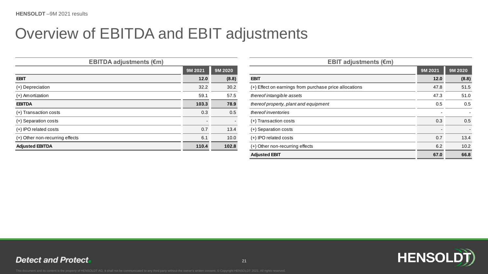# Overview of EBITDA and EBIT adjustments

| <b>EBITDA adjustments (€m)</b>  |                          |         | <b>EBIT adjustments (<math>\epsilon</math>m)</b>       |         |         |
|---------------------------------|--------------------------|---------|--------------------------------------------------------|---------|---------|
|                                 | 9M 2021                  | 9M 2020 |                                                        | 9M 2021 | 9M 2020 |
| <b>EBIT</b>                     | 12.0                     | (8.8)   | <b>EBIT</b>                                            | 12.0    | (8.8)   |
| (+) Depreciation                | 32.2                     | 30.2    | (+) Effect on earnings from purchase price allocations | 47.8    | 51.5    |
| (+) Amortization                | 59.1                     | 57.5    | thereof intangible assets                              | 47.3    | 51.0    |
| <b>EBITDA</b>                   | 103.3                    | 78.9    | thereof property, plant and equipment                  | 0.5     | 0.5     |
| (+) Transaction costs           | 0.3                      | 0.5     | thereof inventories                                    |         |         |
| (+) Separation costs            | $\overline{\phantom{0}}$ |         | (+) Transaction costs                                  | 0.3     | 0.5     |
| (+) IPO related costs           | 0.7                      | 13.4    | (+) Separation costs                                   |         |         |
| (+) Other non-recurring effects | 6.1                      | 10.0    | (+) IPO related costs                                  | 0.7     | 13.4    |
| <b>Adjusted EBITDA</b>          | 110.4                    | 102.8   | (+) Other non-recurring effects                        | 6.2     | 10.2    |

|         |         | <b>EBIT adjustments (€m)</b>                           |         |         |
|---------|---------|--------------------------------------------------------|---------|---------|
| 9M 2021 | 9M 2020 |                                                        | 9M 2021 | 9M 2020 |
| $12.0$  | (8.8)   | <b>EBIT</b>                                            | 12.0    | (8.8)   |
| 32.2    | 30.2    | (+) Effect on earnings from purchase price allocations | 47.8    | 51.5    |
| 59.1    | 57.5    | thereof intangible assets                              | 47.3    | 51.0    |
| 103.3   | 78.9    | thereof property, plant and equipment                  | 0.5     | 0.5     |
| 0.3     | 0.5     | thereof inventories                                    |         |         |
|         |         | (+) Transaction costs                                  | 0.3     | 0.5     |
| 0.7     | 13.4    | (+) Separation costs                                   |         |         |
| 6.1     | 10.0    | $(+)$ IPO related costs                                | 0.7     | 13.4    |
| 110.4   | 102.8   | (+) Other non-recurring effects                        | 6.2     | 10.2    |
|         |         | <b>Adjusted EBIT</b>                                   | 67.0    | 66.8    |

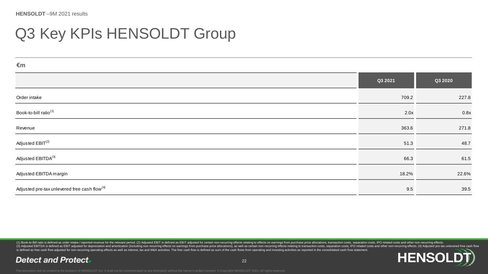# Q3 Key KPIs HENSOLDT Group

| €m                                                       |         |         |
|----------------------------------------------------------|---------|---------|
|                                                          | Q3 2021 | Q3 2020 |
| Order intake                                             | 709.2   | 227.8   |
| Book-to-bill ratio <sup>(1)</sup>                        | 2.0x    | 0.8x    |
| Revenue                                                  | 363.6   | 271.8   |
| Adjusted EBIT <sup>(2)</sup>                             | 51.3    | 48.7    |
| Adjusted EBITDA <sup>(3)</sup>                           | 66.3    | 61.5    |
| Adjusted EBITDA margin                                   | 18.2%   | 22.6%   |
| Adjusted pre-tax unlevered free cash flow <sup>(4)</sup> | 9.5     | 39.5    |

(1) Book-to-Bill ratio is defined as order intake / reported revenue for the relevant period. (2) Adjusted EBIT is defined as EBIT adjusted for certain non-recurring effects relating to effects on earnings from purchase pr is defined as free cash flow adjusted for non-recurring operating effects as well as interest, tax and M&A activities. The free cash flow is defined as sum of the cash flows from operating and investing activities as repor

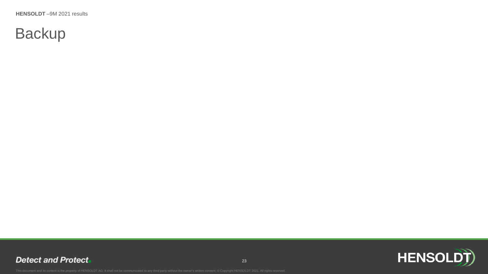# **Backup**

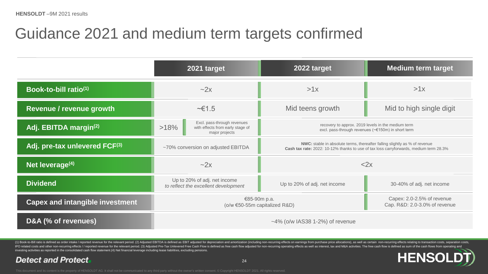# Guidance 2021 and medium term targets confirmed

|                                        | 2021 target                                                                               | 2022 target                                                                                                                                                          | <b>Medium term target</b>                                   |
|----------------------------------------|-------------------------------------------------------------------------------------------|----------------------------------------------------------------------------------------------------------------------------------------------------------------------|-------------------------------------------------------------|
| Book-to-bill ratio(1)                  | $-2x$                                                                                     | >1x                                                                                                                                                                  | >1x                                                         |
| Revenue / revenue growth               | ~5                                                                                        | Mid teens growth                                                                                                                                                     | Mid to high single digit                                    |
| Adj. EBITDA margin <sup>(2)</sup>      | Excl. pass-through revenues<br>>18%<br>with effects from early stage of<br>major projects | recovery to approx. 2019 levels in the medium term<br>excl. pass-through revenues (~€150m) in short term                                                             |                                                             |
| Adj. pre-tax unlevered FCF(3)          | ~70% conversion on adjusted EBITDA                                                        | NWC: stable in absolute terms, thereafter falling slightly as % of revenue<br>Cash tax rate: 2022: 10-12% thanks to use of tax loss carryforwards, medium term 28.3% |                                                             |
| Net leverage <sup>(4)</sup>            | $-2x$                                                                                     | <2x                                                                                                                                                                  |                                                             |
| <b>Dividend</b>                        | Up to 20% of adj. net income<br>to reflect the excellent development                      | Up to 20% of adj. net income                                                                                                                                         | 30-40% of adj. net income                                   |
| <b>Capex and intangible investment</b> | €85-90m p.a.<br>(o/w €50-55m capitalized R&D)                                             |                                                                                                                                                                      | Capex: 2.0-2.5% of revenue<br>Cap. R&D: 2.0-3.0% of revenue |
| D&A (% of revenues)                    | $~14\%$ (o/w IAS38 1-2%) of revenue                                                       |                                                                                                                                                                      |                                                             |

(1) Book-to-Bill ratio is defined as order intake / reported revenue for the relevant period. (2) Adjusted EBITDA is defined as EBIT adjusted for depreciation and amortization (including non-recurring effects on earnings f IPO related costs and other non-recurring effects // reported revenue for the relevant period. (3) Adjusted Pre-Tax Unlevered Free Cash Flow is defined as free cash flow adjusted for non-recurring operating effects as well investing activities as reported in the consolidated cash flow statement.(4) Net financial leverage including lease liabilities, excluding pensions.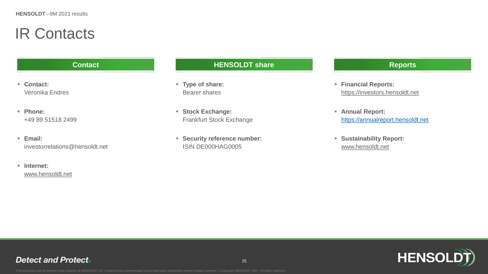# IR Contacts

- **Contact:** Veronika Endres
- **Phone:**  +49 89 51518 2499
- **Email:**  investorrelations@hensoldt.net
- **Internet:**  [www.hensoldt.net](http://www.hensoldt.net/)

### **Contact Contact Reports HENSOLDT** share **Reports**

- **Type of share:**  Bearer shares
- **Stock Exchange:**  Frankfurt Stock Exchange
- **Security reference number:** ISIN DE000HAG0005

- **Financial Reports:** [https://investors.hensoldt.net](http://www.hensoldt.net/)
- **Annual Report:**  [https://annualreport.hensoldt.net](http://www.annualreport.hensoldt.net/)
- **Sustainability Report:** [www.hensoldt.net](http://www.hensoldt.net/)